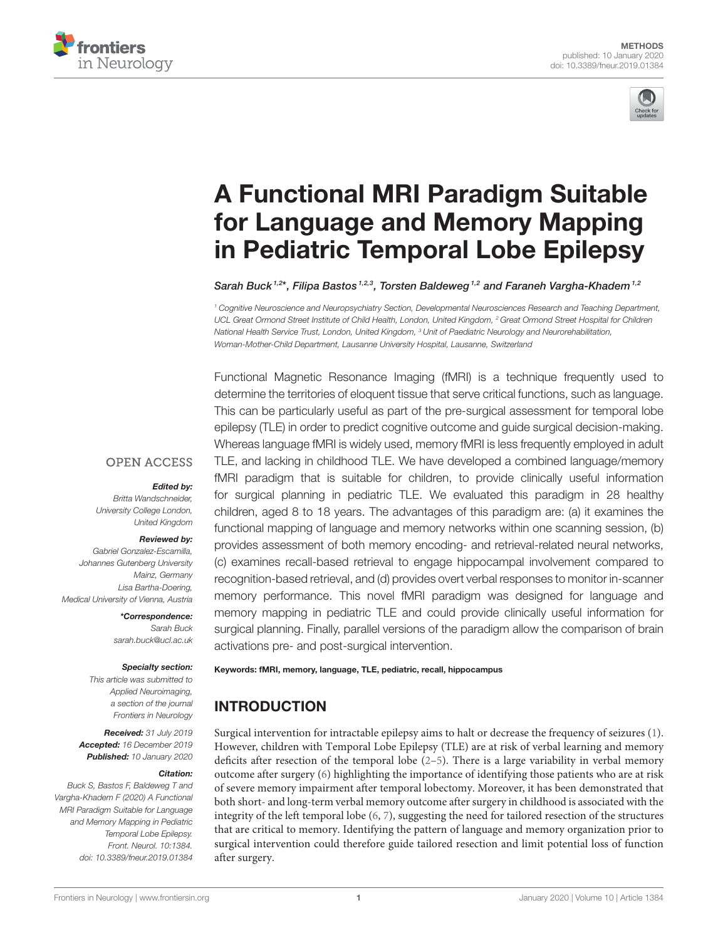



# A Functional MRI Paradigm Suitable for Language and Memory Mapping [in Pediatric Temporal Lobe Epilepsy](https://www.frontiersin.org/articles/10.3389/fneur.2019.01384/full)

[Sarah Buck](http://loop.frontiersin.org/people/782231/overview)<sup>1,2\*</sup>, Filipa Bastos <sup>1,2,3</sup>, [Torsten Baldeweg](http://loop.frontiersin.org/people/701856/overview) <sup>1,2</sup> and [Faraneh Vargha-Khadem](http://loop.frontiersin.org/people/783596/overview) <sup>1,2</sup>

*<sup>1</sup> Cognitive Neuroscience and Neuropsychiatry Section, Developmental Neurosciences Research and Teaching Department, UCL Great Ormond Street Institute of Child Health, London, United Kingdom, <sup>2</sup> Great Ormond Street Hospital for Children National Health Service Trust, London, United Kingdom, <sup>3</sup> Unit of Paediatric Neurology and Neurorehabilitation, Woman-Mother-Child Department, Lausanne University Hospital, Lausanne, Switzerland*

Functional Magnetic Resonance Imaging (fMRI) is a technique frequently used to determine the territories of eloquent tissue that serve critical functions, such as language. This can be particularly useful as part of the pre-surgical assessment for temporal lobe epilepsy (TLE) in order to predict cognitive outcome and guide surgical decision-making. Whereas language fMRI is widely used, memory fMRI is less frequently employed in adult TLE, and lacking in childhood TLE. We have developed a combined language/memory fMRI paradigm that is suitable for children, to provide clinically useful information for surgical planning in pediatric TLE. We evaluated this paradigm in 28 healthy children, aged 8 to 18 years. The advantages of this paradigm are: (a) it examines the functional mapping of language and memory networks within one scanning session, (b) provides assessment of both memory encoding- and retrieval-related neural networks, (c) examines recall-based retrieval to engage hippocampal involvement compared to recognition-based retrieval, and (d) provides overt verbal responses to monitor in-scanner memory performance. This novel fMRI paradigm was designed for language and memory mapping in pediatric TLE and could provide clinically useful information for surgical planning. Finally, parallel versions of the paradigm allow the comparison of brain activations pre- and post-surgical intervention.

#### Keywords: fMRI, memory, language, TLE, pediatric, recall, hippocampus

# INTRODUCTION

Surgical intervention for intractable epilepsy aims to halt or decrease the frequency of seizures [\(1\)](#page-10-0). However, children with Temporal Lobe Epilepsy (TLE) are at risk of verbal learning and memory deficits after resection of the temporal lobe  $(2-5)$ . There is a large variability in verbal memory outcome after surgery [\(6\)](#page-10-3) highlighting the importance of identifying those patients who are at risk of severe memory impairment after temporal lobectomy. Moreover, it has been demonstrated that both short- and long-term verbal memory outcome after surgery in childhood is associated with the integrity of the left temporal lobe [\(6,](#page-10-3) [7\)](#page-10-4), suggesting the need for tailored resection of the structures that are critical to memory. Identifying the pattern of language and memory organization prior to surgical intervention could therefore guide tailored resection and limit potential loss of function after surgery.

#### **OPEN ACCESS**

#### Edited by:

*Britta Wandschneider, University College London, United Kingdom*

#### Reviewed by:

*Gabriel Gonzalez-Escamilla, Johannes Gutenberg University Mainz, Germany Lisa Bartha-Doering, Medical University of Vienna, Austria*

> \*Correspondence: *Sarah Buck [sarah.buck@ucl.ac.uk](mailto:sarah.buck@ucl.ac.uk)*

#### Specialty section:

*This article was submitted to Applied Neuroimaging, a section of the journal Frontiers in Neurology*

Received: *31 July 2019* Accepted: *16 December 2019* Published: *10 January 2020*

#### Citation:

*Buck S, Bastos F, Baldeweg T and Vargha-Khadem F (2020) A Functional MRI Paradigm Suitable for Language and Memory Mapping in Pediatric Temporal Lobe Epilepsy. Front. Neurol. 10:1384. doi: [10.3389/fneur.2019.01384](https://doi.org/10.3389/fneur.2019.01384)*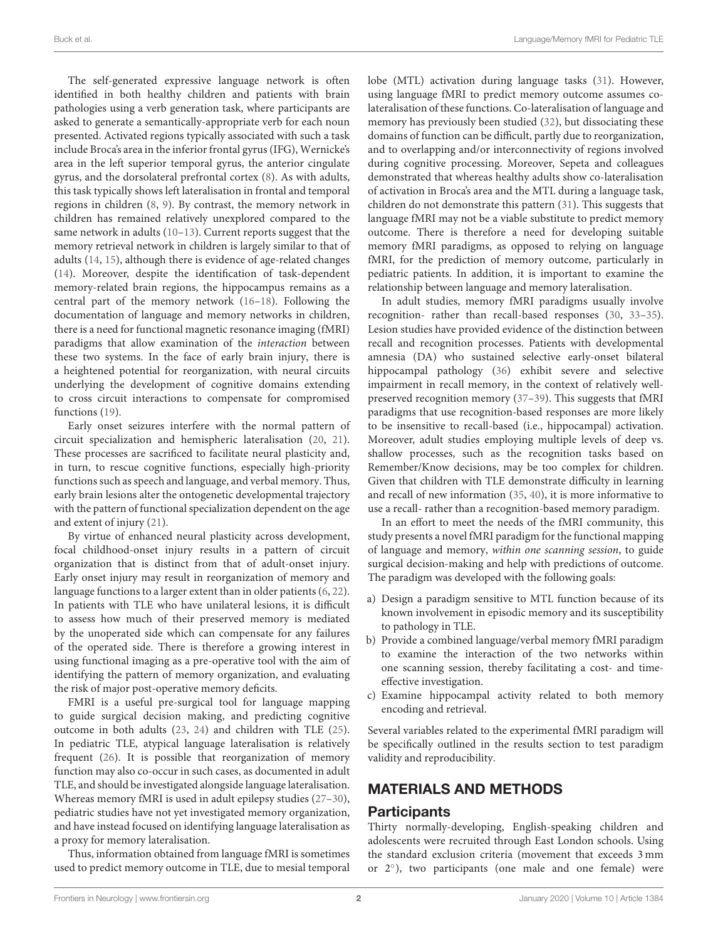The self-generated expressive language network is often identified in both healthy children and patients with brain pathologies using a verb generation task, where participants are asked to generate a semantically-appropriate verb for each noun presented. Activated regions typically associated with such a task include Broca's area in the inferior frontal gyrus (IFG), Wernicke's area in the left superior temporal gyrus, the anterior cingulate gyrus, and the dorsolateral prefrontal cortex [\(8\)](#page-10-5). As with adults, this task typically shows left lateralisation in frontal and temporal regions in children [\(8,](#page-10-5) [9\)](#page-10-6). By contrast, the memory network in children has remained relatively unexplored compared to the same network in adults [\(10–](#page-10-7)[13\)](#page-10-8). Current reports suggest that the memory retrieval network in children is largely similar to that of adults [\(14,](#page-10-9) [15\)](#page-10-10), although there is evidence of age-related changes [\(14\)](#page-10-9). Moreover, despite the identification of task-dependent memory-related brain regions, the hippocampus remains as a central part of the memory network [\(16](#page-10-11)[–18\)](#page-10-12). Following the documentation of language and memory networks in children, there is a need for functional magnetic resonance imaging (fMRI) paradigms that allow examination of the interaction between these two systems. In the face of early brain injury, there is a heightened potential for reorganization, with neural circuits underlying the development of cognitive domains extending to cross circuit interactions to compensate for compromised functions [\(19\)](#page-10-13).

Early onset seizures interfere with the normal pattern of circuit specialization and hemispheric lateralisation [\(20,](#page-10-14) [21\)](#page-10-15). These processes are sacrificed to facilitate neural plasticity and, in turn, to rescue cognitive functions, especially high-priority functions such as speech and language, and verbal memory. Thus, early brain lesions alter the ontogenetic developmental trajectory with the pattern of functional specialization dependent on the age and extent of injury [\(21\)](#page-10-15).

By virtue of enhanced neural plasticity across development, focal childhood-onset injury results in a pattern of circuit organization that is distinct from that of adult-onset injury. Early onset injury may result in reorganization of memory and language functions to a larger extent than in older patients [\(6,](#page-10-3) [22\)](#page-10-16). In patients with TLE who have unilateral lesions, it is difficult to assess how much of their preserved memory is mediated by the unoperated side which can compensate for any failures of the operated side. There is therefore a growing interest in using functional imaging as a pre-operative tool with the aim of identifying the pattern of memory organization, and evaluating the risk of major post-operative memory deficits.

FMRI is a useful pre-surgical tool for language mapping to guide surgical decision making, and predicting cognitive outcome in both adults [\(23,](#page-10-17) [24\)](#page-10-18) and children with TLE [\(25\)](#page-10-19). In pediatric TLE, atypical language lateralisation is relatively frequent [\(26\)](#page-10-20). It is possible that reorganization of memory function may also co-occur in such cases, as documented in adult TLE, and should be investigated alongside language lateralisation. Whereas memory fMRI is used in adult epilepsy studies [\(27–](#page-11-0)[30\)](#page-11-1), pediatric studies have not yet investigated memory organization, and have instead focused on identifying language lateralisation as a proxy for memory lateralisation.

Thus, information obtained from language fMRI is sometimes used to predict memory outcome in TLE, due to mesial temporal lobe (MTL) activation during language tasks [\(31\)](#page-11-2). However, using language fMRI to predict memory outcome assumes colateralisation of these functions. Co-lateralisation of language and memory has previously been studied [\(32\)](#page-11-3), but dissociating these domains of function can be difficult, partly due to reorganization, and to overlapping and/or interconnectivity of regions involved during cognitive processing. Moreover, Sepeta and colleagues demonstrated that whereas healthy adults show co-lateralisation of activation in Broca's area and the MTL during a language task, children do not demonstrate this pattern [\(31\)](#page-11-2). This suggests that language fMRI may not be a viable substitute to predict memory outcome. There is therefore a need for developing suitable memory fMRI paradigms, as opposed to relying on language fMRI, for the prediction of memory outcome, particularly in pediatric patients. In addition, it is important to examine the relationship between language and memory lateralisation.

In adult studies, memory fMRI paradigms usually involve recognition- rather than recall-based responses [\(30,](#page-11-1) [33–](#page-11-4)[35\)](#page-11-5). Lesion studies have provided evidence of the distinction between recall and recognition processes. Patients with developmental amnesia (DA) who sustained selective early-onset bilateral hippocampal pathology [\(36\)](#page-11-6) exhibit severe and selective impairment in recall memory, in the context of relatively wellpreserved recognition memory [\(37–](#page-11-7)[39\)](#page-11-8). This suggests that fMRI paradigms that use recognition-based responses are more likely to be insensitive to recall-based (i.e., hippocampal) activation. Moreover, adult studies employing multiple levels of deep vs. shallow processes, such as the recognition tasks based on Remember/Know decisions, may be too complex for children. Given that children with TLE demonstrate difficulty in learning and recall of new information [\(35,](#page-11-5) [40\)](#page-11-9), it is more informative to use a recall- rather than a recognition-based memory paradigm.

In an effort to meet the needs of the fMRI community, this study presents a novel fMRI paradigm for the functional mapping of language and memory, within one scanning session, to guide surgical decision-making and help with predictions of outcome. The paradigm was developed with the following goals:

- a) Design a paradigm sensitive to MTL function because of its known involvement in episodic memory and its susceptibility to pathology in TLE.
- b) Provide a combined language/verbal memory fMRI paradigm to examine the interaction of the two networks within one scanning session, thereby facilitating a cost- and timeeffective investigation.
- c) Examine hippocampal activity related to both memory encoding and retrieval.

Several variables related to the experimental fMRI paradigm will be specifically outlined in the results section to test paradigm validity and reproducibility.

### MATERIALS AND METHODS

#### **Participants**

Thirty normally-developing, English-speaking children and adolescents were recruited through East London schools. Using the standard exclusion criteria (movement that exceeds 3 mm or 2◦ ), two participants (one male and one female) were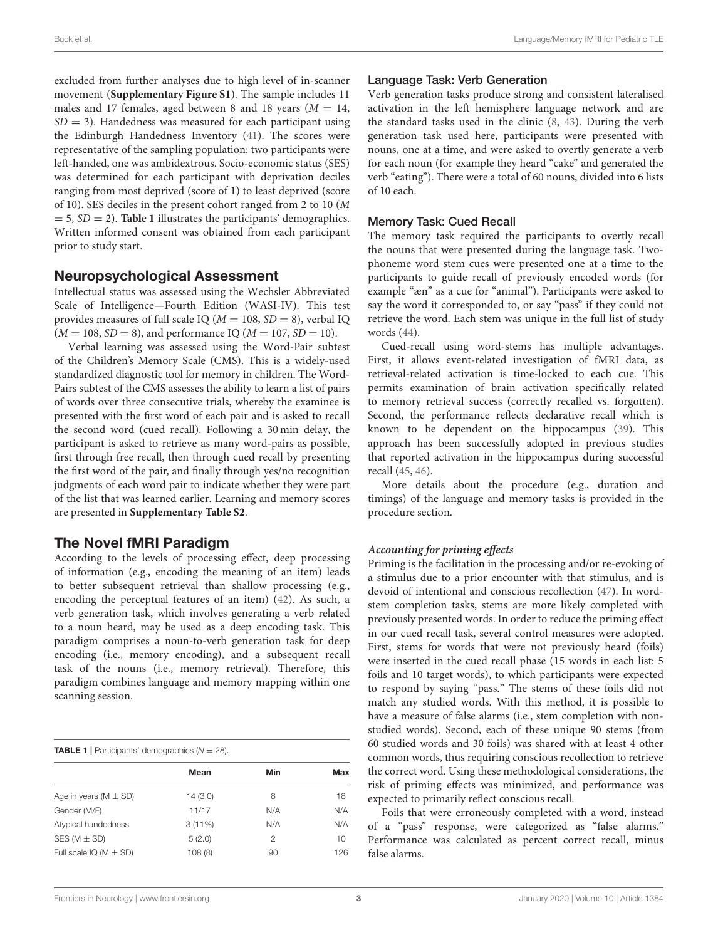excluded from further analyses due to high level of in-scanner movement (**[Supplementary Figure S1](#page-10-21)**). The sample includes 11 males and 17 females, aged between 8 and 18 years ( $M = 14$ ,  $SD = 3$ ). Handedness was measured for each participant using the Edinburgh Handedness Inventory [\(41\)](#page-11-10). The scores were representative of the sampling population: two participants were left-handed, one was ambidextrous. Socio-economic status (SES) was determined for each participant with deprivation deciles ranging from most deprived (score of 1) to least deprived (score of 10). SES deciles in the present cohort ranged from 2 to 10 (M  $= 5$ ,  $SD = 2$ ). **[Table 1](#page-2-0)** illustrates the participants' demographics. Written informed consent was obtained from each participant prior to study start.

### Neuropsychological Assessment

Intellectual status was assessed using the Wechsler Abbreviated Scale of Intelligence—Fourth Edition (WASI-IV). This test provides measures of full scale IQ ( $M = 108$ ,  $SD = 8$ ), verbal IQ  $(M = 108, SD = 8)$ , and performance IQ  $(M = 107, SD = 10)$ .

Verbal learning was assessed using the Word-Pair subtest of the Children's Memory Scale (CMS). This is a widely-used standardized diagnostic tool for memory in children. The Word-Pairs subtest of the CMS assesses the ability to learn a list of pairs of words over three consecutive trials, whereby the examinee is presented with the first word of each pair and is asked to recall the second word (cued recall). Following a 30 min delay, the participant is asked to retrieve as many word-pairs as possible, first through free recall, then through cued recall by presenting the first word of the pair, and finally through yes/no recognition judgments of each word pair to indicate whether they were part of the list that was learned earlier. Learning and memory scores are presented in **[Supplementary Table S2](#page-10-21)**.

# The Novel fMRI Paradigm

According to the levels of processing effect, deep processing of information (e.g., encoding the meaning of an item) leads to better subsequent retrieval than shallow processing (e.g., encoding the perceptual features of an item) [\(42\)](#page-11-11). As such, a verb generation task, which involves generating a verb related to a noun heard, may be used as a deep encoding task. This paradigm comprises a noun-to-verb generation task for deep encoding (i.e., memory encoding), and a subsequent recall task of the nouns (i.e., memory retrieval). Therefore, this paradigm combines language and memory mapping within one scanning session.

<span id="page-2-0"></span>

| <b>TABLE 1</b>   Participants' demographics $(N = 28)$ . |         |     |                 |
|----------------------------------------------------------|---------|-----|-----------------|
|                                                          | Mean    | Min | Max             |
| Age in years ( $M \pm SD$ )                              | 14(3.0) | 8   | 18              |
| Gender (M/F)                                             | 11/17   | N/A | N/A             |
| Atypical handedness                                      | 3(11%)  | N/A | N/A             |
| SES ( $M \pm SD$ )                                       | 5(2.0)  | 2   | 10 <sup>1</sup> |
| Full scale $IQ (M \pm SD)$                               | 108(8)  | 90  | 126             |

#### Language Task: Verb Generation

Verb generation tasks produce strong and consistent lateralised activation in the left hemisphere language network and are the standard tasks used in the clinic [\(8,](#page-10-5) [43\)](#page-11-12). During the verb generation task used here, participants were presented with nouns, one at a time, and were asked to overtly generate a verb for each noun (for example they heard "cake" and generated the verb "eating"). There were a total of 60 nouns, divided into 6 lists of 10 each.

#### Memory Task: Cued Recall

The memory task required the participants to overtly recall the nouns that were presented during the language task. Twophoneme word stem cues were presented one at a time to the participants to guide recall of previously encoded words (for example "æn" as a cue for "animal"). Participants were asked to say the word it corresponded to, or say "pass" if they could not retrieve the word. Each stem was unique in the full list of study words [\(44\)](#page-11-13).

Cued-recall using word-stems has multiple advantages. First, it allows event-related investigation of fMRI data, as retrieval-related activation is time-locked to each cue. This permits examination of brain activation specifically related to memory retrieval success (correctly recalled vs. forgotten). Second, the performance reflects declarative recall which is known to be dependent on the hippocampus [\(39\)](#page-11-8). This approach has been successfully adopted in previous studies that reported activation in the hippocampus during successful recall [\(45,](#page-11-14) [46\)](#page-11-15).

More details about the procedure (e.g., duration and timings) of the language and memory tasks is provided in the procedure section.

#### **Accounting for priming effects**

Priming is the facilitation in the processing and/or re-evoking of a stimulus due to a prior encounter with that stimulus, and is devoid of intentional and conscious recollection [\(47\)](#page-11-16). In wordstem completion tasks, stems are more likely completed with previously presented words. In order to reduce the priming effect in our cued recall task, several control measures were adopted. First, stems for words that were not previously heard (foils) were inserted in the cued recall phase (15 words in each list: 5 foils and 10 target words), to which participants were expected to respond by saying "pass." The stems of these foils did not match any studied words. With this method, it is possible to have a measure of false alarms (i.e., stem completion with nonstudied words). Second, each of these unique 90 stems (from 60 studied words and 30 foils) was shared with at least 4 other common words, thus requiring conscious recollection to retrieve the correct word. Using these methodological considerations, the risk of priming effects was minimized, and performance was expected to primarily reflect conscious recall.

Foils that were erroneously completed with a word, instead of a "pass" response, were categorized as "false alarms." Performance was calculated as percent correct recall, minus false alarms.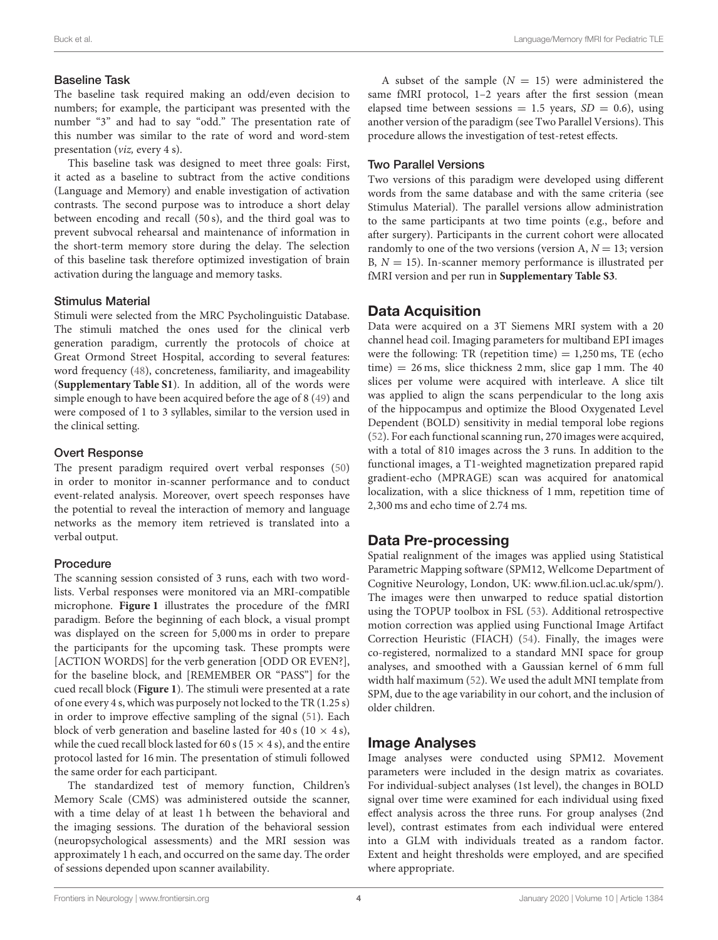#### Baseline Task

The baseline task required making an odd/even decision to numbers; for example, the participant was presented with the number "3" and had to say "odd." The presentation rate of this number was similar to the rate of word and word-stem presentation (viz, every 4 s).

This baseline task was designed to meet three goals: First, it acted as a baseline to subtract from the active conditions (Language and Memory) and enable investigation of activation contrasts. The second purpose was to introduce a short delay between encoding and recall (50 s), and the third goal was to prevent subvocal rehearsal and maintenance of information in the short-term memory store during the delay. The selection of this baseline task therefore optimized investigation of brain activation during the language and memory tasks.

#### Stimulus Material

Stimuli were selected from the MRC Psycholinguistic Database. The stimuli matched the ones used for the clinical verb generation paradigm, currently the protocols of choice at Great Ormond Street Hospital, according to several features: word frequency [\(48\)](#page-11-17), concreteness, familiarity, and imageability (**[Supplementary Table S1](#page-10-21)**). In addition, all of the words were simple enough to have been acquired before the age of 8 [\(49\)](#page-11-18) and were composed of 1 to 3 syllables, similar to the version used in the clinical setting.

#### Overt Response

The present paradigm required overt verbal responses [\(50\)](#page-11-19) in order to monitor in-scanner performance and to conduct event-related analysis. Moreover, overt speech responses have the potential to reveal the interaction of memory and language networks as the memory item retrieved is translated into a verbal output.

#### Procedure

The scanning session consisted of 3 runs, each with two wordlists. Verbal responses were monitored via an MRI-compatible microphone. **[Figure 1](#page-4-0)** illustrates the procedure of the fMRI paradigm. Before the beginning of each block, a visual prompt was displayed on the screen for 5,000 ms in order to prepare the participants for the upcoming task. These prompts were [ACTION WORDS] for the verb generation [ODD OR EVEN?], for the baseline block, and [REMEMBER OR "PASS"] for the cued recall block (**[Figure 1](#page-4-0)**). The stimuli were presented at a rate of one every 4 s, which was purposely not locked to the TR (1.25 s) in order to improve effective sampling of the signal [\(51\)](#page-11-20). Each block of verb generation and baseline lasted for 40 s (10  $\times$  4 s), while the cued recall block lasted for 60 s (15  $\times$  4 s), and the entire protocol lasted for 16 min. The presentation of stimuli followed the same order for each participant.

The standardized test of memory function, Children's Memory Scale (CMS) was administered outside the scanner, with a time delay of at least 1 h between the behavioral and the imaging sessions. The duration of the behavioral session (neuropsychological assessments) and the MRI session was approximately 1 h each, and occurred on the same day. The order of sessions depended upon scanner availability.

A subset of the sample  $(N = 15)$  were administered the same fMRI protocol, 1-2 years after the first session (mean elapsed time between sessions = 1.5 years,  $SD = 0.6$ ), using another version of the paradigm (see Two Parallel Versions). This procedure allows the investigation of test-retest effects.

#### Two Parallel Versions

Two versions of this paradigm were developed using different words from the same database and with the same criteria (see Stimulus Material). The parallel versions allow administration to the same participants at two time points (e.g., before and after surgery). Participants in the current cohort were allocated randomly to one of the two versions (version A,  $N = 13$ ; version B,  $N = 15$ ). In-scanner memory performance is illustrated per fMRI version and per run in **[Supplementary Table S3](#page-10-21)**.

#### Data Acquisition

Data were acquired on a 3T Siemens MRI system with a 20 channel head coil. Imaging parameters for multiband EPI images were the following: TR (repetition time)  $= 1,250$  ms, TE (echo  $time) = 26$  ms, slice thickness  $2$  mm, slice gap  $1$  mm. The  $40$ slices per volume were acquired with interleave. A slice tilt was applied to align the scans perpendicular to the long axis of the hippocampus and optimize the Blood Oxygenated Level Dependent (BOLD) sensitivity in medial temporal lobe regions [\(52\)](#page-11-21). For each functional scanning run, 270 images were acquired, with a total of 810 images across the 3 runs. In addition to the functional images, a T1-weighted magnetization prepared rapid gradient-echo (MPRAGE) scan was acquired for anatomical localization, with a slice thickness of 1 mm, repetition time of 2,300 ms and echo time of 2.74 ms.

### Data Pre-processing

Spatial realignment of the images was applied using Statistical Parametric Mapping software (SPM12, Wellcome Department of Cognitive Neurology, London, UK: [www.fil.ion.ucl.ac.uk/spm/\)](www.fil.ion.ucl.ac.uk/spm/). The images were then unwarped to reduce spatial distortion using the TOPUP toolbox in FSL [\(53\)](#page-11-22). Additional retrospective motion correction was applied using Functional Image Artifact Correction Heuristic (FIACH) [\(54\)](#page-11-23). Finally, the images were co-registered, normalized to a standard MNI space for group analyses, and smoothed with a Gaussian kernel of 6 mm full width half maximum [\(52\)](#page-11-21). We used the adult MNI template from SPM, due to the age variability in our cohort, and the inclusion of older children.

### Image Analyses

Image analyses were conducted using SPM12. Movement parameters were included in the design matrix as covariates. For individual-subject analyses (1st level), the changes in BOLD signal over time were examined for each individual using fixed effect analysis across the three runs. For group analyses (2nd level), contrast estimates from each individual were entered into a GLM with individuals treated as a random factor. Extent and height thresholds were employed, and are specified where appropriate.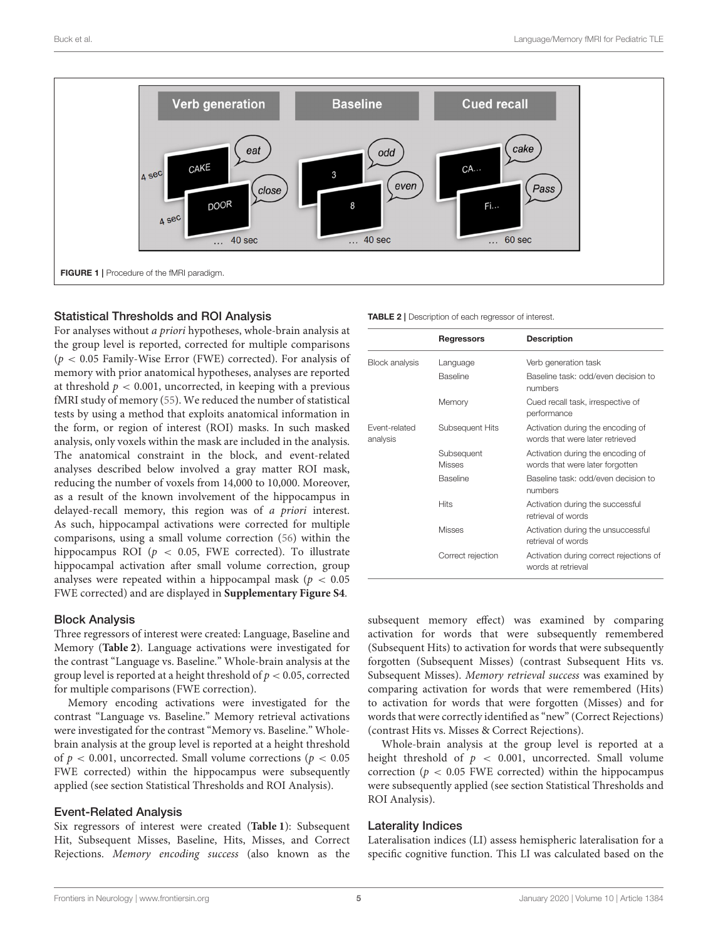

#### <span id="page-4-0"></span>Statistical Thresholds and ROI Analysis

For analyses without a priori hypotheses, whole-brain analysis at the group level is reported, corrected for multiple comparisons  $(p < 0.05$  Family-Wise Error (FWE) corrected). For analysis of memory with prior anatomical hypotheses, analyses are reported at threshold  $p < 0.001$ , uncorrected, in keeping with a previous fMRI study of memory [\(55\)](#page-11-24). We reduced the number of statistical tests by using a method that exploits anatomical information in the form, or region of interest (ROI) masks. In such masked analysis, only voxels within the mask are included in the analysis. The anatomical constraint in the block, and event-related analyses described below involved a gray matter ROI mask, reducing the number of voxels from 14,000 to 10,000. Moreover, as a result of the known involvement of the hippocampus in delayed-recall memory, this region was of a priori interest. As such, hippocampal activations were corrected for multiple comparisons, using a small volume correction [\(56\)](#page-11-25) within the hippocampus ROI ( $p < 0.05$ , FWE corrected). To illustrate hippocampal activation after small volume correction, group analyses were repeated within a hippocampal mask ( $p < 0.05$ ) FWE corrected) and are displayed in **[Supplementary Figure S4](#page-10-21)**.

#### Block Analysis

Three regressors of interest were created: Language, Baseline and Memory (**[Table 2](#page-4-1)**). Language activations were investigated for the contrast "Language vs. Baseline." Whole-brain analysis at the group level is reported at a height threshold of  $p < 0.05$ , corrected for multiple comparisons (FWE correction).

Memory encoding activations were investigated for the contrast "Language vs. Baseline." Memory retrieval activations were investigated for the contrast "Memory vs. Baseline." Wholebrain analysis at the group level is reported at a height threshold of  $p < 0.001$ , uncorrected. Small volume corrections ( $p < 0.05$ ) FWE corrected) within the hippocampus were subsequently applied (see section Statistical Thresholds and ROI Analysis).

#### Event-Related Analysis

Six regressors of interest were created (**[Table 1](#page-2-0)**): Subsequent Hit, Subsequent Misses, Baseline, Hits, Misses, and Correct Rejections. Memory encoding success (also known as the

<span id="page-4-1"></span>

|                           | Regressors                  | <b>Description</b>                                                   |
|---------------------------|-----------------------------|----------------------------------------------------------------------|
| <b>Block analysis</b>     | Language                    | Verb generation task                                                 |
|                           | <b>Baseline</b>             | Baseline task: odd/even decision to<br>numbers                       |
|                           | Memory                      | Cued recall task, irrespective of<br>performance                     |
| Fvent-related<br>analysis | Subsequent Hits             | Activation during the encoding of<br>words that were later retrieved |
|                           | Subsequent<br><b>Misses</b> | Activation during the encoding of<br>words that were later forgotten |
|                           | Baseline                    | Baseline task: odd/even decision to<br>numbers                       |
|                           | <b>Hits</b>                 | Activation during the successful<br>retrieval of words               |
|                           | <b>Misses</b>               | Activation during the unsuccessful<br>retrieval of words             |
|                           | Correct rejection           | Activation during correct rejections of<br>words at retrieval        |

subsequent memory effect) was examined by comparing activation for words that were subsequently remembered (Subsequent Hits) to activation for words that were subsequently forgotten (Subsequent Misses) (contrast Subsequent Hits vs. Subsequent Misses). Memory retrieval success was examined by comparing activation for words that were remembered (Hits) to activation for words that were forgotten (Misses) and for words that were correctly identified as "new" (Correct Rejections) (contrast Hits vs. Misses & Correct Rejections).

Whole-brain analysis at the group level is reported at a height threshold of  $p < 0.001$ , uncorrected. Small volume correction ( $p < 0.05$  FWE corrected) within the hippocampus were subsequently applied (see section Statistical Thresholds and ROI Analysis).

#### Laterality Indices

Lateralisation indices (LI) assess hemispheric lateralisation for a specific cognitive function. This LI was calculated based on the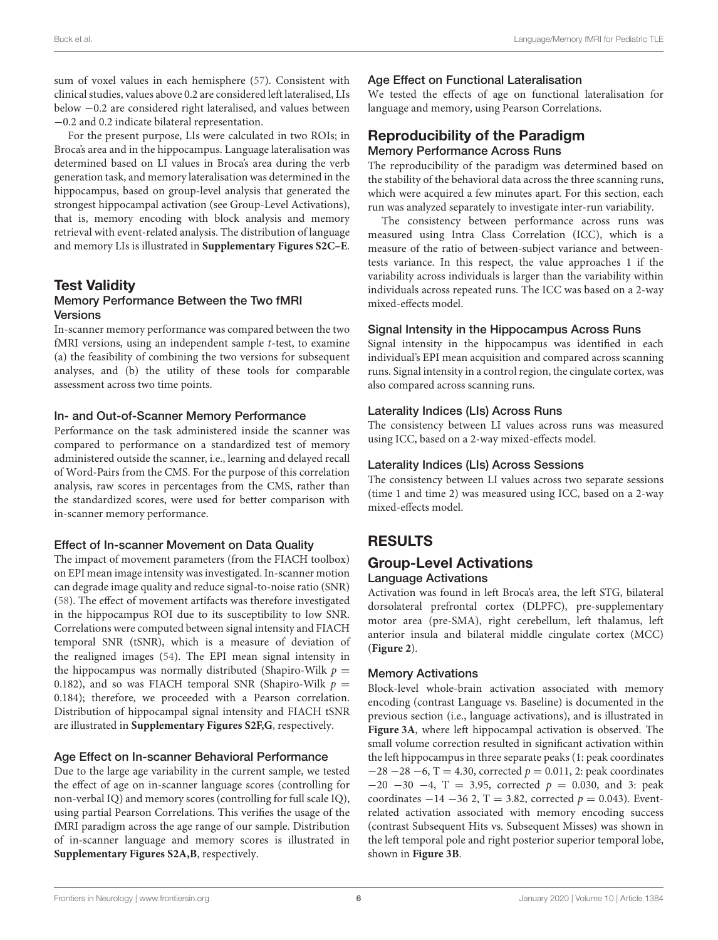sum of voxel values in each hemisphere [\(57\)](#page-11-26). Consistent with clinical studies, values above 0.2 are considered left lateralised, LIs below −0.2 are considered right lateralised, and values between −0.2 and 0.2 indicate bilateral representation.

For the present purpose, LIs were calculated in two ROIs; in Broca's area and in the hippocampus. Language lateralisation was determined based on LI values in Broca's area during the verb generation task, and memory lateralisation was determined in the hippocampus, based on group-level analysis that generated the strongest hippocampal activation (see Group-Level Activations), that is, memory encoding with block analysis and memory retrieval with event-related analysis. The distribution of language and memory LIs is illustrated in **[Supplementary Figures S2C–E](#page-10-21)**.

#### Test Validity Memory Performance Between the Two fMRI Versions

In-scanner memory performance was compared between the two fMRI versions, using an independent sample  $t$ -test, to examine (a) the feasibility of combining the two versions for subsequent analyses, and (b) the utility of these tools for comparable assessment across two time points.

#### In- and Out-of-Scanner Memory Performance

Performance on the task administered inside the scanner was compared to performance on a standardized test of memory administered outside the scanner, i.e., learning and delayed recall of Word-Pairs from the CMS. For the purpose of this correlation analysis, raw scores in percentages from the CMS, rather than the standardized scores, were used for better comparison with in-scanner memory performance.

#### Effect of In-scanner Movement on Data Quality

The impact of movement parameters (from the FIACH toolbox) on EPI mean image intensity was investigated. In-scanner motion can degrade image quality and reduce signal-to-noise ratio (SNR) [\(58\)](#page-11-27). The effect of movement artifacts was therefore investigated in the hippocampus ROI due to its susceptibility to low SNR. Correlations were computed between signal intensity and FIACH temporal SNR (tSNR), which is a measure of deviation of the realigned images [\(54\)](#page-11-23). The EPI mean signal intensity in the hippocampus was normally distributed (Shapiro-Wilk  $p =$ 0.182), and so was FIACH temporal SNR (Shapiro-Wilk  $p =$ 0.184); therefore, we proceeded with a Pearson correlation. Distribution of hippocampal signal intensity and FIACH tSNR are illustrated in **[Supplementary Figures S2F,G](#page-10-21)**, respectively.

#### Age Effect on In-scanner Behavioral Performance

Due to the large age variability in the current sample, we tested the effect of age on in-scanner language scores (controlling for non-verbal IQ) and memory scores (controlling for full scale IQ), using partial Pearson Correlations. This verifies the usage of the fMRI paradigm across the age range of our sample. Distribution of in-scanner language and memory scores is illustrated in **[Supplementary Figures S2A,B](#page-10-21)**, respectively.

### Age Effect on Functional Lateralisation

We tested the effects of age on functional lateralisation for language and memory, using Pearson Correlations.

# Reproducibility of the Paradigm

Memory Performance Across Runs

The reproducibility of the paradigm was determined based on the stability of the behavioral data across the three scanning runs, which were acquired a few minutes apart. For this section, each run was analyzed separately to investigate inter-run variability.

The consistency between performance across runs was measured using Intra Class Correlation (ICC), which is a measure of the ratio of between-subject variance and betweentests variance. In this respect, the value approaches 1 if the variability across individuals is larger than the variability within individuals across repeated runs. The ICC was based on a 2-way mixed-effects model.

#### Signal Intensity in the Hippocampus Across Runs

Signal intensity in the hippocampus was identified in each individual's EPI mean acquisition and compared across scanning runs. Signal intensity in a control region, the cingulate cortex, was also compared across scanning runs.

#### Laterality Indices (LIs) Across Runs

The consistency between LI values across runs was measured using ICC, based on a 2-way mixed-effects model.

#### Laterality Indices (LIs) Across Sessions

The consistency between LI values across two separate sessions (time 1 and time 2) was measured using ICC, based on a 2-way mixed-effects model.

# RESULTS

#### Group-Level Activations Language Activations

Activation was found in left Broca's area, the left STG, bilateral dorsolateral prefrontal cortex (DLPFC), pre-supplementary motor area (pre-SMA), right cerebellum, left thalamus, left anterior insula and bilateral middle cingulate cortex (MCC) (**[Figure 2](#page-6-0)**).

### Memory Activations

Block-level whole-brain activation associated with memory encoding (contrast Language vs. Baseline) is documented in the previous section (i.e., language activations), and is illustrated in **[Figure 3A](#page-6-1)**, where left hippocampal activation is observed. The small volume correction resulted in significant activation within the left hippocampus in three separate peaks (1: peak coordinates  $-28 -28 -6$ , T = 4.30, corrected  $p = 0.011$ , 2: peak coordinates  $-20$   $-30$   $-4$ , T = 3.95, corrected  $p = 0.030$ , and 3: peak coordinates  $-14 - 36$  2, T = 3.82, corrected  $p = 0.043$ ). Eventrelated activation associated with memory encoding success (contrast Subsequent Hits vs. Subsequent Misses) was shown in the left temporal pole and right posterior superior temporal lobe, shown in **[Figure 3B](#page-6-1)**.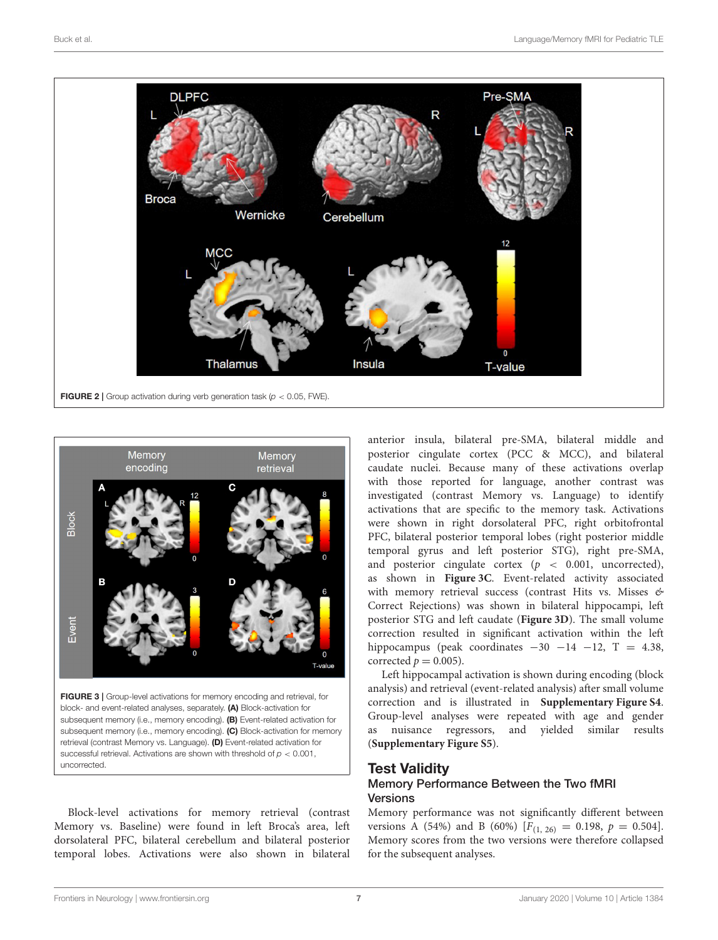

<span id="page-6-0"></span>

<span id="page-6-1"></span>FIGURE 3 | Group-level activations for memory encoding and retrieval, for block- and event-related analyses, separately. (A) Block-activation for subsequent memory (i.e., memory encoding). (B) Event-related activation for subsequent memory (i.e., memory encoding). (C) Block-activation for memory retrieval (contrast Memory vs. Language). (D) Event-related activation for successful retrieval. Activations are shown with threshold of *p* < 0.001, uncorrected.

Block-level activations for memory retrieval (contrast Memory vs. Baseline) were found in left Broca's area, left dorsolateral PFC, bilateral cerebellum and bilateral posterior temporal lobes. Activations were also shown in bilateral

anterior insula, bilateral pre-SMA, bilateral middle and posterior cingulate cortex (PCC & MCC), and bilateral caudate nuclei. Because many of these activations overlap with those reported for language, another contrast was investigated (contrast Memory vs. Language) to identify activations that are specific to the memory task. Activations were shown in right dorsolateral PFC, right orbitofrontal PFC, bilateral posterior temporal lobes (right posterior middle temporal gyrus and left posterior STG), right pre-SMA, and posterior cingulate cortex  $(p < 0.001,$  uncorrected), as shown in **[Figure 3C](#page-6-1)**. Event-related activity associated with memory retrieval success (contrast Hits vs. Misses  $\mathfrak{G}$ Correct Rejections) was shown in bilateral hippocampi, left posterior STG and left caudate (**[Figure 3D](#page-6-1)**). The small volume correction resulted in significant activation within the left hippocampus (peak coordinates  $-30$   $-14$   $-12$ , T = 4.38, corrected  $p = 0.005$ ).

Left hippocampal activation is shown during encoding (block analysis) and retrieval (event-related analysis) after small volume correction and is illustrated in **[Supplementary Figure S4](#page-10-21)**. Group-level analyses were repeated with age and gender as nuisance regressors, and yielded similar results (**[Supplementary Figure S5](#page-10-21)**).

# Test Validity

#### Memory Performance Between the Two fMRI **Versions**

Memory performance was not significantly different between versions A (54%) and B (60%) [ $F_{(1, 26)} = 0.198$ ,  $p = 0.504$ ]. Memory scores from the two versions were therefore collapsed for the subsequent analyses.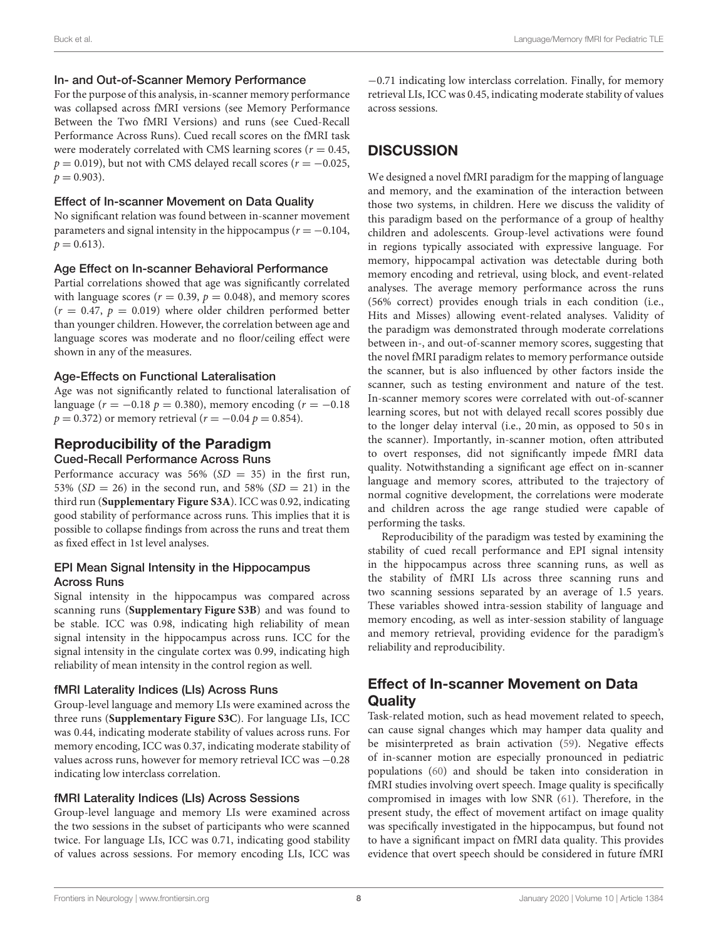#### In- and Out-of-Scanner Memory Performance

For the purpose of this analysis, in-scanner memory performance was collapsed across fMRI versions (see Memory Performance Between the Two fMRI Versions) and runs (see Cued-Recall Performance Across Runs). Cued recall scores on the fMRI task were moderately correlated with CMS learning scores ( $r = 0.45$ ,  $p = 0.019$ ), but not with CMS delayed recall scores ( $r = -0.025$ ,  $p = 0.903$ .

#### Effect of In-scanner Movement on Data Quality

No significant relation was found between in-scanner movement parameters and signal intensity in the hippocampus ( $r = -0.104$ ,  $p = 0.613$ .

#### Age Effect on In-scanner Behavioral Performance

Partial correlations showed that age was significantly correlated with language scores ( $r = 0.39$ ,  $p = 0.048$ ), and memory scores  $(r = 0.47, p = 0.019)$  where older children performed better than younger children. However, the correlation between age and language scores was moderate and no floor/ceiling effect were shown in any of the measures.

#### Age-Effects on Functional Lateralisation

Age was not significantly related to functional lateralisation of language ( $r = -0.18 p = 0.380$ ), memory encoding ( $r = -0.18$  $p = 0.372$ ) or memory retrieval ( $r = -0.04$   $p = 0.854$ ).

# Reproducibility of the Paradigm

#### Cued-Recall Performance Across Runs

Performance accuracy was  $56\%$  (SD = 35) in the first run, 53% ( $SD = 26$ ) in the second run, and 58% ( $SD = 21$ ) in the third run (**[Supplementary Figure S3A](#page-10-21)**). ICC was 0.92, indicating good stability of performance across runs. This implies that it is possible to collapse findings from across the runs and treat them as fixed effect in 1st level analyses.

#### EPI Mean Signal Intensity in the Hippocampus Across Runs

Signal intensity in the hippocampus was compared across scanning runs (**[Supplementary Figure S3B](#page-10-21)**) and was found to be stable. ICC was 0.98, indicating high reliability of mean signal intensity in the hippocampus across runs. ICC for the signal intensity in the cingulate cortex was 0.99, indicating high reliability of mean intensity in the control region as well.

#### fMRI Laterality Indices (LIs) Across Runs

Group-level language and memory LIs were examined across the three runs (**[Supplementary Figure S3C](#page-10-21)**). For language LIs, ICC was 0.44, indicating moderate stability of values across runs. For memory encoding, ICC was 0.37, indicating moderate stability of values across runs, however for memory retrieval ICC was −0.28 indicating low interclass correlation.

#### fMRI Laterality Indices (LIs) Across Sessions

Group-level language and memory LIs were examined across the two sessions in the subset of participants who were scanned twice. For language LIs, ICC was 0.71, indicating good stability of values across sessions. For memory encoding LIs, ICC was −0.71 indicating low interclass correlation. Finally, for memory retrieval LIs, ICC was 0.45, indicating moderate stability of values across sessions.

# **DISCUSSION**

We designed a novel fMRI paradigm for the mapping of language and memory, and the examination of the interaction between those two systems, in children. Here we discuss the validity of this paradigm based on the performance of a group of healthy children and adolescents. Group-level activations were found in regions typically associated with expressive language. For memory, hippocampal activation was detectable during both memory encoding and retrieval, using block, and event-related analyses. The average memory performance across the runs (56% correct) provides enough trials in each condition (i.e., Hits and Misses) allowing event-related analyses. Validity of the paradigm was demonstrated through moderate correlations between in-, and out-of-scanner memory scores, suggesting that the novel fMRI paradigm relates to memory performance outside the scanner, but is also influenced by other factors inside the scanner, such as testing environment and nature of the test. In-scanner memory scores were correlated with out-of-scanner learning scores, but not with delayed recall scores possibly due to the longer delay interval (i.e., 20 min, as opposed to 50 s in the scanner). Importantly, in-scanner motion, often attributed to overt responses, did not significantly impede fMRI data quality. Notwithstanding a significant age effect on in-scanner language and memory scores, attributed to the trajectory of normal cognitive development, the correlations were moderate and children across the age range studied were capable of performing the tasks.

Reproducibility of the paradigm was tested by examining the stability of cued recall performance and EPI signal intensity in the hippocampus across three scanning runs, as well as the stability of fMRI LIs across three scanning runs and two scanning sessions separated by an average of 1.5 years. These variables showed intra-session stability of language and memory encoding, as well as inter-session stability of language and memory retrieval, providing evidence for the paradigm's reliability and reproducibility.

# Effect of In-scanner Movement on Data **Quality**

Task-related motion, such as head movement related to speech, can cause signal changes which may hamper data quality and be misinterpreted as brain activation [\(59\)](#page-11-28). Negative effects of in-scanner motion are especially pronounced in pediatric populations [\(60\)](#page-11-29) and should be taken into consideration in fMRI studies involving overt speech. Image quality is specifically compromised in images with low SNR [\(61\)](#page-11-30). Therefore, in the present study, the effect of movement artifact on image quality was specifically investigated in the hippocampus, but found not to have a significant impact on fMRI data quality. This provides evidence that overt speech should be considered in future fMRI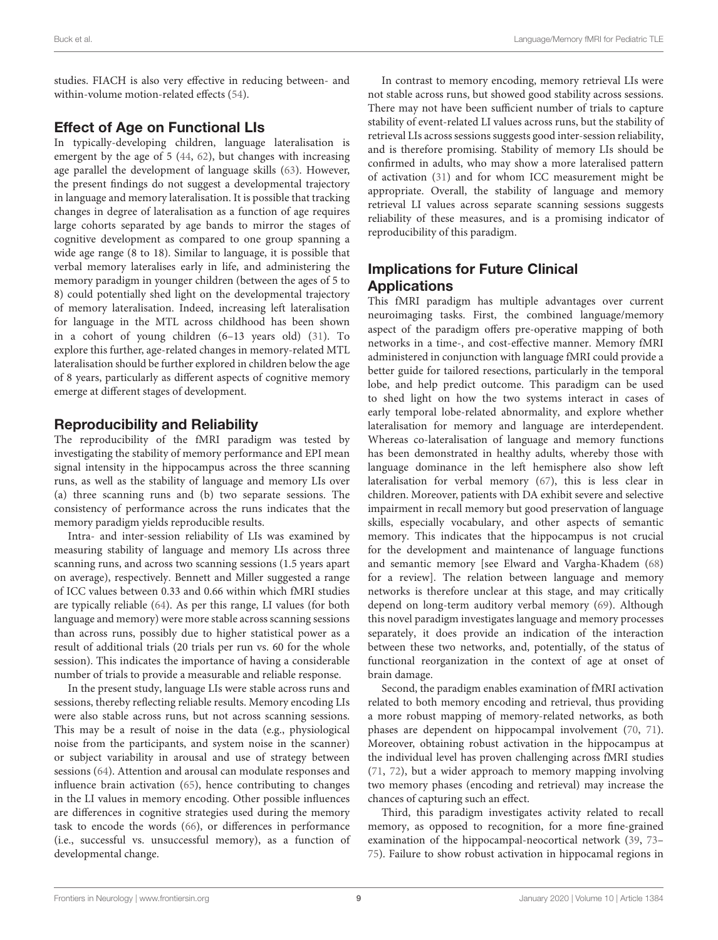studies. FIACH is also very effective in reducing between- and within-volume motion-related effects [\(54\)](#page-11-23).

# Effect of Age on Functional LIs

In typically-developing children, language lateralisation is emergent by the age of 5 [\(44,](#page-11-13) [62\)](#page-11-31), but changes with increasing age parallel the development of language skills [\(63\)](#page-11-32). However, the present findings do not suggest a developmental trajectory in language and memory lateralisation. It is possible that tracking changes in degree of lateralisation as a function of age requires large cohorts separated by age bands to mirror the stages of cognitive development as compared to one group spanning a wide age range (8 to 18). Similar to language, it is possible that verbal memory lateralises early in life, and administering the memory paradigm in younger children (between the ages of 5 to 8) could potentially shed light on the developmental trajectory of memory lateralisation. Indeed, increasing left lateralisation for language in the MTL across childhood has been shown in a cohort of young children (6–13 years old) [\(31\)](#page-11-2). To explore this further, age-related changes in memory-related MTL lateralisation should be further explored in children below the age of 8 years, particularly as different aspects of cognitive memory emerge at different stages of development.

# Reproducibility and Reliability

The reproducibility of the fMRI paradigm was tested by investigating the stability of memory performance and EPI mean signal intensity in the hippocampus across the three scanning runs, as well as the stability of language and memory LIs over (a) three scanning runs and (b) two separate sessions. The consistency of performance across the runs indicates that the memory paradigm yields reproducible results.

Intra- and inter-session reliability of LIs was examined by measuring stability of language and memory LIs across three scanning runs, and across two scanning sessions (1.5 years apart on average), respectively. Bennett and Miller suggested a range of ICC values between 0.33 and 0.66 within which fMRI studies are typically reliable [\(64\)](#page-11-33). As per this range, LI values (for both language and memory) were more stable across scanning sessions than across runs, possibly due to higher statistical power as a result of additional trials (20 trials per run vs. 60 for the whole session). This indicates the importance of having a considerable number of trials to provide a measurable and reliable response.

In the present study, language LIs were stable across runs and sessions, thereby reflecting reliable results. Memory encoding LIs were also stable across runs, but not across scanning sessions. This may be a result of noise in the data (e.g., physiological noise from the participants, and system noise in the scanner) or subject variability in arousal and use of strategy between sessions [\(64\)](#page-11-33). Attention and arousal can modulate responses and influence brain activation [\(65\)](#page-11-34), hence contributing to changes in the LI values in memory encoding. Other possible influences are differences in cognitive strategies used during the memory task to encode the words [\(66\)](#page-11-35), or differences in performance (i.e., successful vs. unsuccessful memory), as a function of developmental change.

In contrast to memory encoding, memory retrieval LIs were not stable across runs, but showed good stability across sessions. There may not have been sufficient number of trials to capture stability of event-related LI values across runs, but the stability of retrieval LIs across sessions suggests good inter-session reliability, and is therefore promising. Stability of memory LIs should be confirmed in adults, who may show a more lateralised pattern of activation [\(31\)](#page-11-2) and for whom ICC measurement might be appropriate. Overall, the stability of language and memory retrieval LI values across separate scanning sessions suggests reliability of these measures, and is a promising indicator of reproducibility of this paradigm.

# Implications for Future Clinical **Applications**

This fMRI paradigm has multiple advantages over current neuroimaging tasks. First, the combined language/memory aspect of the paradigm offers pre-operative mapping of both networks in a time-, and cost-effective manner. Memory fMRI administered in conjunction with language fMRI could provide a better guide for tailored resections, particularly in the temporal lobe, and help predict outcome. This paradigm can be used to shed light on how the two systems interact in cases of early temporal lobe-related abnormality, and explore whether lateralisation for memory and language are interdependent. Whereas co-lateralisation of language and memory functions has been demonstrated in healthy adults, whereby those with language dominance in the left hemisphere also show left lateralisation for verbal memory [\(67\)](#page-11-36), this is less clear in children. Moreover, patients with DA exhibit severe and selective impairment in recall memory but good preservation of language skills, especially vocabulary, and other aspects of semantic memory. This indicates that the hippocampus is not crucial for the development and maintenance of language functions and semantic memory [see Elward and Vargha-Khadem [\(68\)](#page-12-0) for a review]. The relation between language and memory networks is therefore unclear at this stage, and may critically depend on long-term auditory verbal memory [\(69\)](#page-12-1). Although this novel paradigm investigates language and memory processes separately, it does provide an indication of the interaction between these two networks, and, potentially, of the status of functional reorganization in the context of age at onset of brain damage.

Second, the paradigm enables examination of fMRI activation related to both memory encoding and retrieval, thus providing a more robust mapping of memory-related networks, as both phases are dependent on hippocampal involvement [\(70,](#page-12-2) [71\)](#page-12-3). Moreover, obtaining robust activation in the hippocampus at the individual level has proven challenging across fMRI studies [\(71,](#page-12-3) [72\)](#page-12-4), but a wider approach to memory mapping involving two memory phases (encoding and retrieval) may increase the chances of capturing such an effect.

Third, this paradigm investigates activity related to recall memory, as opposed to recognition, for a more fine-grained examination of the hippocampal-neocortical network [\(39,](#page-11-8) [73–](#page-12-5) [75\)](#page-12-6). Failure to show robust activation in hippocamal regions in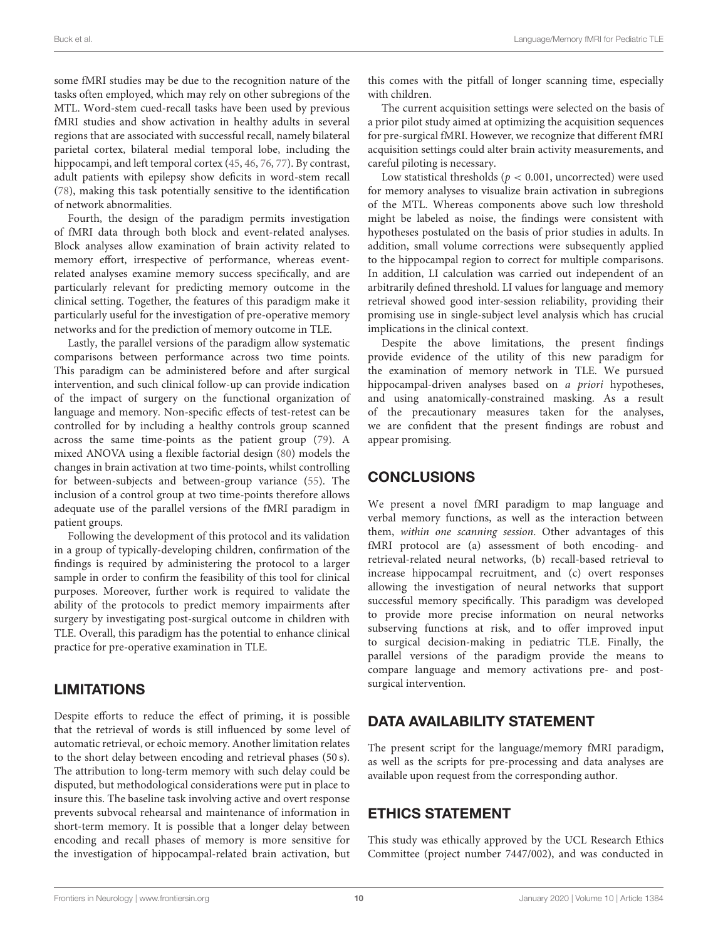some fMRI studies may be due to the recognition nature of the tasks often employed, which may rely on other subregions of the MTL. Word-stem cued-recall tasks have been used by previous fMRI studies and show activation in healthy adults in several regions that are associated with successful recall, namely bilateral parietal cortex, bilateral medial temporal lobe, including the hippocampi, and left temporal cortex [\(45,](#page-11-14) [46,](#page-11-15) [76,](#page-12-7) [77\)](#page-12-8). By contrast, adult patients with epilepsy show deficits in word-stem recall [\(78\)](#page-12-9), making this task potentially sensitive to the identification of network abnormalities.

Fourth, the design of the paradigm permits investigation of fMRI data through both block and event-related analyses. Block analyses allow examination of brain activity related to memory effort, irrespective of performance, whereas eventrelated analyses examine memory success specifically, and are particularly relevant for predicting memory outcome in the clinical setting. Together, the features of this paradigm make it particularly useful for the investigation of pre-operative memory networks and for the prediction of memory outcome in TLE.

Lastly, the parallel versions of the paradigm allow systematic comparisons between performance across two time points. This paradigm can be administered before and after surgical intervention, and such clinical follow-up can provide indication of the impact of surgery on the functional organization of language and memory. Non-specific effects of test-retest can be controlled for by including a healthy controls group scanned across the same time-points as the patient group [\(79\)](#page-12-10). A mixed ANOVA using a flexible factorial design [\(80\)](#page-12-11) models the changes in brain activation at two time-points, whilst controlling for between-subjects and between-group variance [\(55\)](#page-11-24). The inclusion of a control group at two time-points therefore allows adequate use of the parallel versions of the fMRI paradigm in patient groups.

Following the development of this protocol and its validation in a group of typically-developing children, confirmation of the findings is required by administering the protocol to a larger sample in order to confirm the feasibility of this tool for clinical purposes. Moreover, further work is required to validate the ability of the protocols to predict memory impairments after surgery by investigating post-surgical outcome in children with TLE. Overall, this paradigm has the potential to enhance clinical practice for pre-operative examination in TLE.

# LIMITATIONS

Despite efforts to reduce the effect of priming, it is possible that the retrieval of words is still influenced by some level of automatic retrieval, or echoic memory. Another limitation relates to the short delay between encoding and retrieval phases (50 s). The attribution to long-term memory with such delay could be disputed, but methodological considerations were put in place to insure this. The baseline task involving active and overt response prevents subvocal rehearsal and maintenance of information in short-term memory. It is possible that a longer delay between encoding and recall phases of memory is more sensitive for the investigation of hippocampal-related brain activation, but this comes with the pitfall of longer scanning time, especially with children.

The current acquisition settings were selected on the basis of a prior pilot study aimed at optimizing the acquisition sequences for pre-surgical fMRI. However, we recognize that different fMRI acquisition settings could alter brain activity measurements, and careful piloting is necessary.

Low statistical thresholds ( $p < 0.001$ , uncorrected) were used for memory analyses to visualize brain activation in subregions of the MTL. Whereas components above such low threshold might be labeled as noise, the findings were consistent with hypotheses postulated on the basis of prior studies in adults. In addition, small volume corrections were subsequently applied to the hippocampal region to correct for multiple comparisons. In addition, LI calculation was carried out independent of an arbitrarily defined threshold. LI values for language and memory retrieval showed good inter-session reliability, providing their promising use in single-subject level analysis which has crucial implications in the clinical context.

Despite the above limitations, the present findings provide evidence of the utility of this new paradigm for the examination of memory network in TLE. We pursued hippocampal-driven analyses based on a priori hypotheses, and using anatomically-constrained masking. As a result of the precautionary measures taken for the analyses, we are confident that the present findings are robust and appear promising.

# **CONCLUSIONS**

We present a novel fMRI paradigm to map language and verbal memory functions, as well as the interaction between them, within one scanning session. Other advantages of this fMRI protocol are (a) assessment of both encoding- and retrieval-related neural networks, (b) recall-based retrieval to increase hippocampal recruitment, and (c) overt responses allowing the investigation of neural networks that support successful memory specifically. This paradigm was developed to provide more precise information on neural networks subserving functions at risk, and to offer improved input to surgical decision-making in pediatric TLE. Finally, the parallel versions of the paradigm provide the means to compare language and memory activations pre- and postsurgical intervention.

# DATA AVAILABILITY STATEMENT

The present script for the language/memory fMRI paradigm, as well as the scripts for pre-processing and data analyses are available upon request from the corresponding author.

# ETHICS STATEMENT

This study was ethically approved by the UCL Research Ethics Committee (project number 7447/002), and was conducted in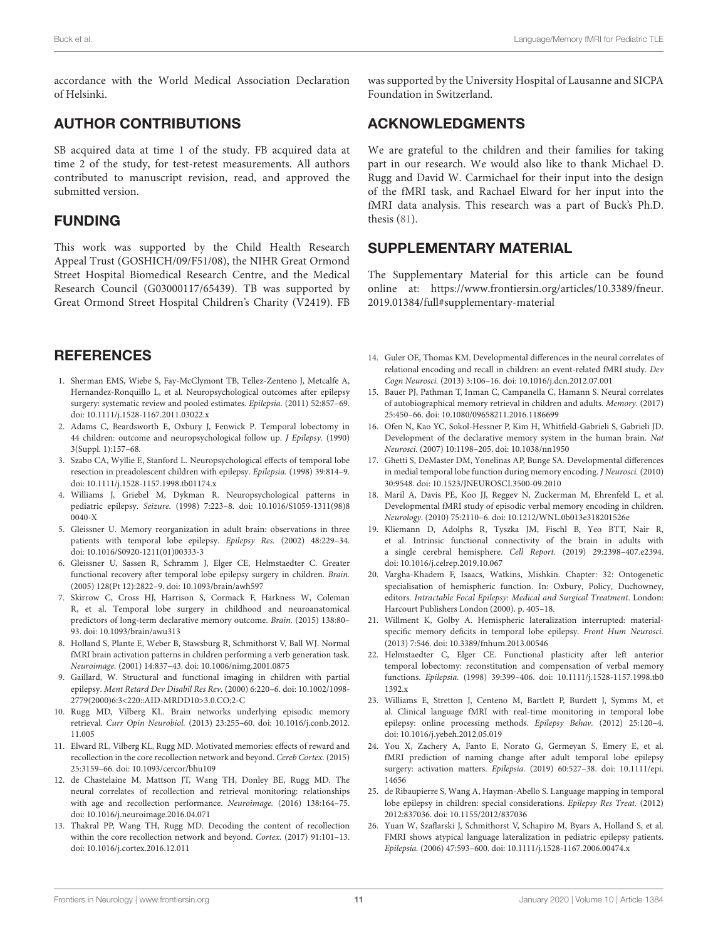accordance with the World Medical Association Declaration of Helsinki.

# AUTHOR CONTRIBUTIONS

SB acquired data at time 1 of the study. FB acquired data at time 2 of the study, for test-retest measurements. All authors contributed to manuscript revision, read, and approved the submitted version.

# FUNDING

This work was supported by the Child Health Research Appeal Trust (GOSHICH/09/F51/08), the NIHR Great Ormond Street Hospital Biomedical Research Centre, and the Medical Research Council (G03000117/65439). TB was supported by Great Ormond Street Hospital Children's Charity (V2419). FB

# **REFERENCES**

- <span id="page-10-0"></span>1. Sherman EMS, Wiebe S, Fay-McClymont TB, Tellez-Zenteno J, Metcalfe A, Hernandez-Ronquillo L, et al. Neuropsychological outcomes after epilepsy surgery: systematic review and pooled estimates. Epilepsia. (2011) 52:857–69. doi: [10.1111/j.1528-1167.2011.03022.x](https://doi.org/10.1111/j.1528-1167.2011.03022.x)
- <span id="page-10-1"></span>2. Adams C, Beardsworth E, Oxbury J, Fenwick P. Temporal lobectomy in 44 children: outcome and neuropsychological follow up. *J Epilepsy*. (1990) 3(Suppl. 1):157–68.
- 3. Szabo CA, Wyllie E, Stanford L. Neuropsychological effects of temporal lobe resection in preadolescent children with epilepsy. Epilepsia. (1998) 39:814–9. doi: [10.1111/j.1528-1157.1998.tb01174.x](https://doi.org/10.1111/j.1528-1157.1998.tb01174.x)
- 4. Williams J, Griebel M, Dykman R. Neuropsychological patterns in pediatric epilepsy. Seizure. [\(1998\) 7:223–8. doi: 10.1016/S1059-1311\(98\)8](https://doi.org/10.1016/S1059-1311(98)80040-X) 0040-X
- <span id="page-10-2"></span>5. Gleissner U. Memory reorganization in adult brain: observations in three patients with temporal lobe epilepsy. Epilepsy Res. (2002) 48:229–34. doi: [10.1016/S0920-1211\(01\)00333-3](https://doi.org/10.1016/S0920-1211(01)00333-3)
- <span id="page-10-3"></span>6. Gleissner U, Sassen R, Schramm J, Elger CE, Helmstaedter C. Greater functional recovery after temporal lobe epilepsy surgery in children. Brain. (2005) 128(Pt 12):2822–9. doi: [10.1093/brain/awh597](https://doi.org/10.1093/brain/awh597)
- <span id="page-10-4"></span>7. Skirrow C, Cross HJ, Harrison S, Cormack F, Harkness W, Coleman R, et al. Temporal lobe surgery in childhood and neuroanatomical predictors of long-term declarative memory outcome. Brain. (2015) 138:80– 93. doi: [10.1093/brain/awu313](https://doi.org/10.1093/brain/awu313)
- <span id="page-10-5"></span>8. Holland S, Plante E, Weber B, Stawsburg R, Schmithorst V, Ball WJ. Normal fMRI brain activation patterns in children performing a verb generation task. Neuroimage. (2001) 14:837–43. doi: [10.1006/nimg.2001.0875](https://doi.org/10.1006/nimg.2001.0875)
- <span id="page-10-6"></span>9. Gaillard, W. Structural and functional imaging in children with partial epilepsy. Ment Retard Dev Disabil Res Rev. (2000) 6:220–6. doi: 10.1002/1098- [2779\(2000\)6:3<220::AID-MRDD10>3.0.CO;2-C](https://doi.org/10.1002/1098-2779(2000)6:3<220::AID-MRDD10>3.0.CO;2-C)
- <span id="page-10-7"></span>10. Rugg MD, Vilberg KL. Brain networks underlying episodic memory retrieval. Curr Opin Neurobiol. [\(2013\) 23:255–60. doi: 10.1016/j.conb.2012.](https://doi.org/10.1016/j.conb.2012.11.005) 11.005
- 11. Elward RL, Vilberg KL, Rugg MD. Motivated memories: effects of reward and recollection in the core recollection network and beyond. Cereb Cortex. (2015) 25:3159–66. doi: [10.1093/cercor/bhu109](https://doi.org/10.1093/cercor/bhu109)
- 12. de Chastelaine M, Mattson JT, Wang TH, Donley BE, Rugg MD. The neural correlates of recollection and retrieval monitoring: relationships with age and recollection performance. Neuroimage. (2016) 138:164–75. doi: [10.1016/j.neuroimage.2016.04.071](https://doi.org/10.1016/j.neuroimage.2016.04.071)
- <span id="page-10-8"></span>13. Thakral PP, Wang TH, Rugg MD. Decoding the content of recollection within the core recollection network and beyond. Cortex. (2017) 91:101–13. doi: [10.1016/j.cortex.2016.12.011](https://doi.org/10.1016/j.cortex.2016.12.011)

was supported by the University Hospital of Lausanne and SICPA Foundation in Switzerland.

# ACKNOWLEDGMENTS

We are grateful to the children and their families for taking part in our research. We would also like to thank Michael D. Rugg and David W. Carmichael for their input into the design of the fMRI task, and Rachael Elward for her input into the fMRI data analysis. This research was a part of Buck's Ph.D. thesis [\(81\)](#page-12-12).

# SUPPLEMENTARY MATERIAL

<span id="page-10-21"></span>The Supplementary Material for this article can be found [online at: https://www.frontiersin.org/articles/10.3389/fneur.](https://www.frontiersin.org/articles/10.3389/fneur.2019.01384/full#supplementary-material) 2019.01384/full#supplementary-material

- <span id="page-10-9"></span>14. Guler OE, Thomas KM. Developmental differences in the neural correlates of relational encoding and recall in children: an event-related fMRI study. Dev Cogn Neurosci. (2013) 3:106–16. doi: [10.1016/j.dcn.2012.07.001](https://doi.org/10.1016/j.dcn.2012.07.001)
- <span id="page-10-10"></span>15. Bauer PJ, Pathman T, Inman C, Campanella C, Hamann S. Neural correlates of autobiographical memory retrieval in children and adults. Memory. (2017) 25:450–66. doi: [10.1080/09658211.2016.1186699](https://doi.org/10.1080/09658211.2016.1186699)
- <span id="page-10-11"></span>16. Ofen N, Kao YC, Sokol-Hessner P, Kim H, Whitfield-Gabrieli S, Gabrieli JD. Development of the declarative memory system in the human brain. Nat Neurosci. (2007) 10:1198–205. doi: [10.1038/nn1950](https://doi.org/10.1038/nn1950)
- 17. Ghetti S, DeMaster DM, Yonelinas AP, Bunge SA. Developmental differences in medial temporal lobe function during memory encoding. J Neurosci. (2010) 30:9548. doi: [10.1523/JNEUROSCI.3500-09.2010](https://doi.org/10.1523/JNEUROSCI.3500-09.2010)
- <span id="page-10-12"></span>18. Maril A, Davis PE, Koo JJ, Reggev N, Zuckerman M, Ehrenfeld L, et al. Developmental fMRI study of episodic verbal memory encoding in children. Neurology. (2010) 75:2110–6. doi: [10.1212/WNL.0b013e318201526e](https://doi.org/10.1212/WNL.0b013e318201526e)
- <span id="page-10-13"></span>19. Kliemann D, Adolphs R, Tyszka JM, Fischl B, Yeo BTT, Nair R, et al. Intrinsic functional connectivity of the brain in adults with a single cerebral hemisphere. Cell Report. (2019) 29:2398–407.e2394. doi: [10.1016/j.celrep.2019.10.067](https://doi.org/10.1016/j.celrep.2019.10.067)
- <span id="page-10-14"></span>20. Vargha-Khadem F, Isaacs, Watkins, Mishkin. Chapter: 32: Ontogenetic specialisation of hemispheric function. In: Oxbury, Policy, Duchowney, editors. Intractable Focal Epilepsy: Medical and Surgical Treatment. London: Harcourt Publishers London (2000). p. 405–18.
- <span id="page-10-15"></span>21. Willment K, Golby A. Hemispheric lateralization interrupted: materialspecific memory deficits in temporal lobe epilepsy. Front Hum Neurosci. (2013) 7:546. doi: [10.3389/fnhum.2013.00546](https://doi.org/10.3389/fnhum.2013.00546)
- <span id="page-10-16"></span>22. Helmstaedter C, Elger CE. Functional plasticity after left anterior temporal lobectomy: reconstitution and compensation of verbal memory functions. Epilepsia. [\(1998\) 39:399–406. doi: 10.1111/j.1528-1157.1998.tb0](https://doi.org/10.1111/j.1528-1157.1998.tb01392.x) 1392.x
- <span id="page-10-17"></span>23. Williams E, Stretton J, Centeno M, Bartlett P, Burdett J, Symms M, et al. Clinical language fMRI with real-time monitoring in temporal lobe epilepsy: online processing methods. Epilepsy Behav. (2012) 25:120–4. doi: [10.1016/j.yebeh.2012.05.019](https://doi.org/10.1016/j.yebeh.2012.05.019)
- <span id="page-10-18"></span>24. You X, Zachery A, Fanto E, Norato G, Germeyan S, Emery E, et al. fMRI prediction of naming change after adult temporal lobe epilepsy surgery: activation matters. Epilepsia. [\(2019\) 60:527–38. doi: 10.1111/epi.](https://doi.org/10.1111/epi.14656) 14656
- <span id="page-10-19"></span>25. de Ribaupierre S, Wang A, Hayman-Abello S. Language mapping in temporal lobe epilepsy in children: special considerations. Epilepsy Res Treat. (2012) 2012:837036. doi: [10.1155/2012/837036](https://doi.org/10.1155/2012/837036)
- <span id="page-10-20"></span>26. Yuan W, Szaflarski J, Schmithorst V, Schapiro M, Byars A, Holland S, et al. FMRI shows atypical language lateralization in pediatric epilepsy patients. Epilepsia. (2006) 47:593–600. doi: [10.1111/j.1528-1167.2006.00474.x](https://doi.org/10.1111/j.1528-1167.2006.00474.x)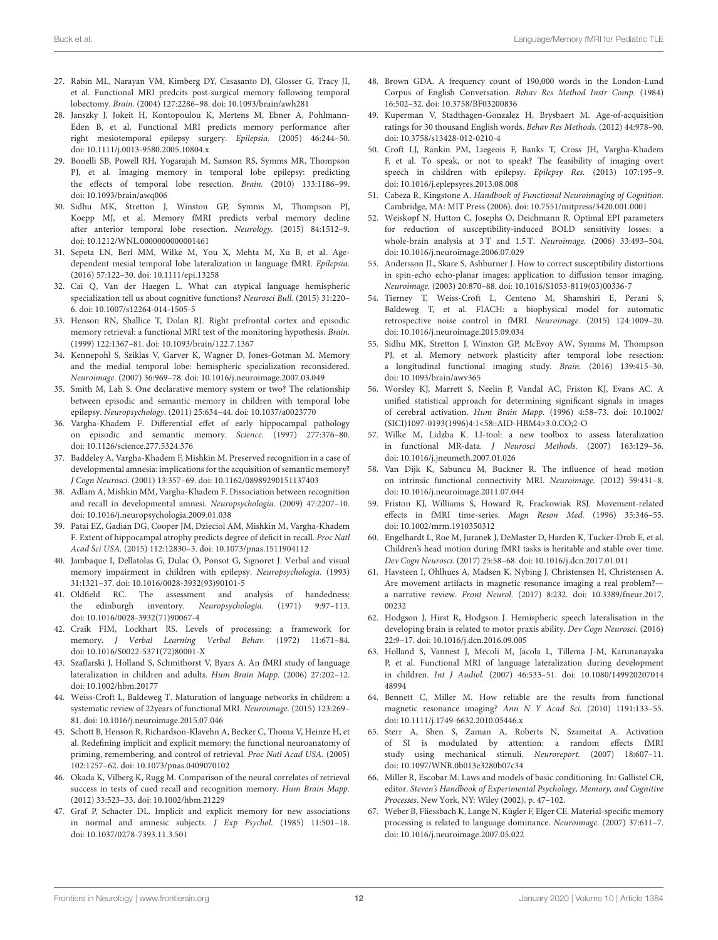- <span id="page-11-0"></span>27. Rabin ML, Narayan VM, Kimberg DY, Casasanto DJ, Glosser G, Tracy JI, et al. Functional MRI predcits post-surgical memory following temporal lobectomy. Brain. (2004) 127:2286–98. doi: [10.1093/brain/awh281](https://doi.org/10.1093/brain/awh281)
- 28. Janszky J, Jokeit H, Kontopoulou K, Mertens M, Ebner A, Pohlmann-Eden B, et al. Functional MRI predicts memory performance after right mesiotemporal epilepsy surgery. Epilepsia. (2005) 46:244–50. doi: [10.1111/j.0013-9580.2005.10804.x](https://doi.org/10.1111/j.0013-9580.2005.10804.x)
- 29. Bonelli SB, Powell RH, Yogarajah M, Samson RS, Symms MR, Thompson PJ, et al. Imaging memory in temporal lobe epilepsy: predicting the effects of temporal lobe resection. Brain. (2010) 133:1186–99. doi: [10.1093/brain/awq006](https://doi.org/10.1093/brain/awq006)
- <span id="page-11-1"></span>30. Sidhu MK, Stretton J, Winston GP, Symms M, Thompson PJ, Koepp MJ, et al. Memory fMRI predicts verbal memory decline after anterior temporal lobe resection. Neurology. (2015) 84:1512–9. doi: [10.1212/WNL.0000000000001461](https://doi.org/10.1212/WNL.0000000000001461)
- <span id="page-11-2"></span>31. Sepeta LN, Berl MM, Wilke M, You X, Mehta M, Xu B, et al. Agedependent mesial temporal lobe lateralization in language fMRI. Epilepsia. (2016) 57:122–30. doi: [10.1111/epi.13258](https://doi.org/10.1111/epi.13258)
- <span id="page-11-3"></span>32. Cai Q, Van der Haegen L. What can atypical language hemispheric specialization tell us about cognitive functions? Neurosci Bull. (2015) 31:220– 6. doi: [10.1007/s12264-014-1505-5](https://doi.org/10.1007/s12264-014-1505-5)
- <span id="page-11-4"></span>33. Henson RN, Shallice T, Dolan RJ. Right prefrontal cortex and episodic memory retrieval: a functional MRI test of the monitoring hypothesis. Brain. (1999) 122:1367–81. doi: [10.1093/brain/122.7.1367](https://doi.org/10.1093/brain/122.7.1367)
- 34. Kennepohl S, Sziklas V, Garver K, Wagner D, Jones-Gotman M. Memory and the medial temporal lobe: hemispheric specialization reconsidered. Neuroimage. (2007) 36:969–78. doi: [10.1016/j.neuroimage.2007.03.049](https://doi.org/10.1016/j.neuroimage.2007.03.049)
- <span id="page-11-5"></span>35. Smith M, Lah S. One declarative memory system or two? The relationship between episodic and semantic memory in children with temporal lobe epilepsy. Neuropsychology. (2011) 25:634–44. doi: [10.1037/a0023770](https://doi.org/10.1037/a0023770)
- <span id="page-11-6"></span>36. Vargha-Khadem F. Differential effet of early hippocampal pathology on episodic and semantic memory. Science. (1997) 277:376–80. doi: [10.1126/science.277.5324.376](https://doi.org/10.1126/science.277.5324.376)
- <span id="page-11-7"></span>37. Baddeley A, Vargha-Khadem F, Mishkin M. Preserved recognition in a case of developmental amnesia: implications for the acquisition of semantic memory? J Cogn Neurosci. (2001) 13:357–69. doi: [10.1162/08989290151137403](https://doi.org/10.1162/08989290151137403)
- 38. Adlam A, Mishkin MM, Vargha-Khadem F. Dissociation between recognition and recall in developmental amnesi. Neuropsychologia. (2009) 47:2207–10. doi: [10.1016/j.neuropsychologia.2009.01.038](https://doi.org/10.1016/j.neuropsychologia.2009.01.038)
- <span id="page-11-8"></span>39. Patai EZ, Gadian DG, Cooper JM, Dzieciol AM, Mishkin M, Vargha-Khadem F. Extent of hippocampal atrophy predicts degree of deficit in recall. Proc Natl Acad Sci USA. (2015) 112:12830–3. doi: [10.1073/pnas.1511904112](https://doi.org/10.1073/pnas.1511904112)
- <span id="page-11-9"></span>40. Jambaque I, Dellatolas G, Dulac O, Ponsot G, Signoret J. Verbal and visual memory impairment in children with epilepsy. Neuropsychologia. (1993) 31:1321–37. doi: [10.1016/0028-3932\(93\)90101-5](https://doi.org/10.1016/0028-3932(93)90101-5)
- <span id="page-11-10"></span>41. Oldfield RC. The assessment and analysis of handedness: the edinburgh inventory. Neuropsychologia. (1971) 9:97–113. doi: [10.1016/0028-3932\(71\)90067-4](https://doi.org/10.1016/0028-3932(71)90067-4)
- <span id="page-11-11"></span>42. Craik FIM, Lockhart RS. Levels of processing: a framework for memory. J Verbal Learning Verbal Behav. (1972) 11:671–84. doi: [10.1016/S0022-5371\(72\)80001-X](https://doi.org/10.1016/S0022-5371(72)80001-X)
- <span id="page-11-12"></span>43. Szaflarski J, Holland S, Schmithorst V, Byars A. An fMRI study of language lateralization in children and adults. Hum Brain Mapp. (2006) 27:202–12. doi: [10.1002/hbm.20177](https://doi.org/10.1002/hbm.20177)
- <span id="page-11-13"></span>44. Weiss-Croft L, Baldeweg T. Maturation of language networks in children: a systematic review of 22years of functional MRI. Neuroimage. (2015) 123:269– 81. doi: [10.1016/j.neuroimage.2015.07.046](https://doi.org/10.1016/j.neuroimage.2015.07.046)
- <span id="page-11-14"></span>45. Schott B, Henson R, Richardson-Klavehn A, Becker C, Thoma V, Heinze H, et al. Redefining implicit and explicit memory: the functional neuroanatomy of priming, remembering, and control of retrieval. Proc Natl Acad USA. (2005) 102:1257–62. doi: [10.1073/pnas.0409070102](https://doi.org/10.1073/pnas.0409070102)
- <span id="page-11-15"></span>46. Okada K, Vilberg K, Rugg M. Comparison of the neural correlates of retrieval success in tests of cued recall and recognition memory. Hum Brain Mapp. (2012) 33:523–33. doi: [10.1002/hbm.21229](https://doi.org/10.1002/hbm.21229)
- <span id="page-11-16"></span>47. Graf P, Schacter DL. Implicit and explicit memory for new associations in normal and amnesic subjects. J Exp Psychol. (1985) 11:501–18. doi: [10.1037/0278-7393.11.3.501](https://doi.org/10.1037/0278-7393.11.3.501)
- <span id="page-11-17"></span>48. Brown GDA. A frequency count of 190,000 words in the London-Lund Corpus of English Conversation. Behav Res Method Instr Comp. (1984) 16:502–32. doi: [10.3758/BF03200836](https://doi.org/10.3758/BF03200836)
- <span id="page-11-18"></span>49. Kuperman V, Stadthagen-Gonzalez H, Brysbaert M. Age-of-acquisition ratings for 30 thousand English words. Behav Res Methods. (2012) 44:978–90. doi: [10.3758/s13428-012-0210-4](https://doi.org/10.3758/s13428-012-0210-4)
- <span id="page-11-19"></span>50. Croft LJ, Rankin PM, Liegeois F, Banks T, Cross JH, Vargha-Khadem F, et al. To speak, or not to speak? The feasibility of imaging overt speech in children with epilepsy. Epilepsy Res. (2013) 107:195–9. doi: [10.1016/j.eplepsyres.2013.08.008](https://doi.org/10.1016/j.eplepsyres.2013.08.008)
- <span id="page-11-20"></span>51. Cabeza R, Kingstone A. Handbook of Functional Neuroimaging of Cognition. Cambridge, MA: MIT Press (2006). doi: [10.7551/mitpress/3420.001.0001](https://doi.org/10.7551/mitpress/3420.001.0001)
- <span id="page-11-21"></span>52. Weiskopf N, Hutton C, Josephs O, Deichmann R. Optimal EPI parameters for reduction of susceptibility-induced BOLD sensitivity losses: a whole-brain analysis at 3 T and 1.5 T. Neuroimage. (2006) 33:493–504. doi: [10.1016/j.neuroimage.2006.07.029](https://doi.org/10.1016/j.neuroimage.2006.07.029)
- <span id="page-11-22"></span>53. Andersson JL, Skare S, Ashburner J. How to correct susceptibility distortions in spin-echo echo-planar images: application to diffusion tensor imaging. Neuroimage. (2003) 20:870–88. doi: [10.1016/S1053-8119\(03\)00336-7](https://doi.org/10.1016/S1053-8119(03)00336-7)
- <span id="page-11-23"></span>54. Tierney T, Weiss-Croft L, Centeno M, Shamshiri E, Perani S, Baldeweg T, et al. FIACH: a biophysical model for automatic retrospective noise control in fMRI. Neuroimage. (2015) 124:1009–20. doi: [10.1016/j.neuroimage.2015.09.034](https://doi.org/10.1016/j.neuroimage.2015.09.034)
- <span id="page-11-24"></span>55. Sidhu MK, Stretton J, Winston GP, McEvoy AW, Symms M, Thompson PJ, et al. Memory network plasticity after temporal lobe resection: a longitudinal functional imaging study. Brain. (2016) 139:415–30. doi: [10.1093/brain/awv365](https://doi.org/10.1093/brain/awv365)
- <span id="page-11-25"></span>56. Worsley KJ, Marrett S, Neelin P, Vandal AC, Friston KJ, Evans AC. A unified statistical approach for determining significant signals in images of cerebral activation. Hum Brain Mapp. (1996) 4:58–73. doi: 10.1002/ [\(SICI\)1097-0193\(1996\)4:1<58::AID-HBM4>3.0.CO;2-O](https://doi.org/10.1002/(SICI)1097-0193(1996)4:1<58::AID-HBM4>3.0.CO;2-O)
- <span id="page-11-26"></span>57. Wilke M, Lidzba K. LI-tool: a new toolbox to assess lateralization in functional MR-data. J Neurosci Methods. (2007) 163:129–36. doi: [10.1016/j.jneumeth.2007.01.026](https://doi.org/10.1016/j.jneumeth.2007.01.026)
- <span id="page-11-27"></span>58. Van Dijk K, Sabuncu M, Buckner R. The influence of head motion on intrinsic functional connectivity MRI. Neuroimage. (2012) 59:431–8. doi: [10.1016/j.neuroimage.2011.07.044](https://doi.org/10.1016/j.neuroimage.2011.07.044)
- <span id="page-11-28"></span>59. Friston KJ, Williams S, Howard R, Frackowiak RSJ. Movement-related effects in fMRI time-series. Magn Reson Med. (1996) 35:346–55. doi: [10.1002/mrm.1910350312](https://doi.org/10.1002/mrm.1910350312)
- <span id="page-11-29"></span>60. Engelhardt L, Roe M, Juranek J, DeMaster D, Harden K, Tucker-Drob E, et al. Children's head motion during fMRI tasks is heritable and stable over time. Dev Cogn Neurosci. (2017) 25:58–68. doi: [10.1016/j.dcn.2017.01.011](https://doi.org/10.1016/j.dcn.2017.01.011)
- <span id="page-11-30"></span>61. Havsteen I, Ohlhues A, Madsen K, Nybing J, Christensen H, Christensen A. Are movement artifacts in magnetic resonance imaging a real problem? a narrative review. Front Neurol[. \(2017\) 8:232. doi: 10.3389/fneur.2017.](https://doi.org/10.3389/fneur.2017.00232) 00232
- <span id="page-11-31"></span>62. Hodgson J, Hirst R, Hodgson J. Hemispheric speech lateralisation in the developing brain is related to motor praxis ability. Dev Cogn Neurosci. (2016) 22:9–17. doi: [10.1016/j.dcn.2016.09.005](https://doi.org/10.1016/j.dcn.2016.09.005)
- <span id="page-11-32"></span>63. Holland S, Vannest J, Mecoli M, Jacola L, Tillema J-M, Karunanayaka P, et al. Functional MRI of language lateralization during development in children. Int J Audiol. [\(2007\) 46:533–51. doi: 10.1080/149920207014](https://doi.org/10.1080/14992020701448994) 48994
- <span id="page-11-33"></span>64. Bennett C, Miller M. How reliable are the results from functional magnetic resonance imaging? Ann N Y Acad Sci. (2010) 1191:133–55. doi: [10.1111/j.1749-6632.2010.05446.x](https://doi.org/10.1111/j.1749-6632.2010.05446.x)
- <span id="page-11-34"></span>65. Sterr A, Shen S, Zaman A, Roberts N, Szameitat A. Activation of SI is modulated by attention: a random effects fMRI study using mechanical stimuli. Neuroreport. (2007) 18:607–11. doi: [10.1097/WNR.0b013e3280b07c34](https://doi.org/10.1097/WNR.0b013e3280b07c34)
- <span id="page-11-35"></span>66. Miller R, Escobar M. Laws and models of basic conditioning. In: Gallistel CR, editor. Steven's Handbook of Experimental Psychology, Memory, and Cognitive Processes. New York, NY: Wiley (2002). p. 47–102.
- <span id="page-11-36"></span>67. Weber B, Fliessbach K, Lange N, Kügler F, Elger CE. Material-specific memory processing is related to language dominance. Neuroimage. (2007) 37:611–7. doi: [10.1016/j.neuroimage.2007.05.022](https://doi.org/10.1016/j.neuroimage.2007.05.022)